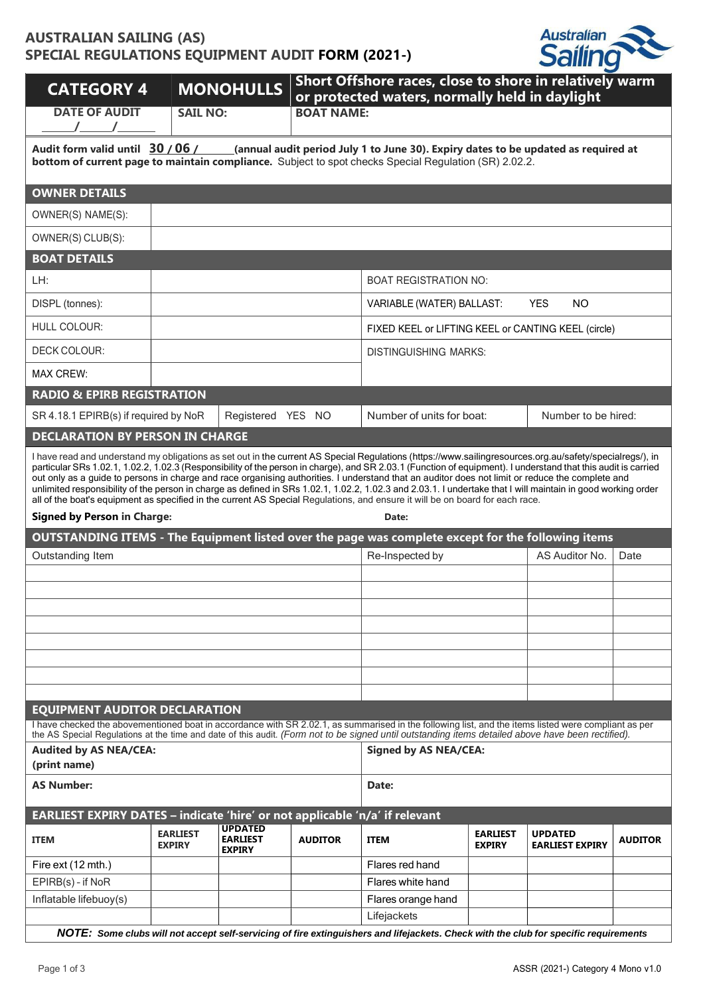# **AUSTRALIAN SAILING (AS) SPECIAL REGULATIONS EQUIPMENT AUDIT FORM (2021-)**



| <b>CATEGORY 4</b><br><b>DATE OF AUDIT</b>                                                                                                                                                                                                                                                                                                                                                                                                                                                                                                                                                                                                                                                                                                                                                                                      |                                  | <b>MONOHULLS</b>                                   | Short Offshore races, close to shore in relatively warm<br>or protected waters, normally held in daylight<br><b>BOAT NAME:</b> |                                                                                                                                                     |                                  |                                          |                |  |  |
|--------------------------------------------------------------------------------------------------------------------------------------------------------------------------------------------------------------------------------------------------------------------------------------------------------------------------------------------------------------------------------------------------------------------------------------------------------------------------------------------------------------------------------------------------------------------------------------------------------------------------------------------------------------------------------------------------------------------------------------------------------------------------------------------------------------------------------|----------------------------------|----------------------------------------------------|--------------------------------------------------------------------------------------------------------------------------------|-----------------------------------------------------------------------------------------------------------------------------------------------------|----------------------------------|------------------------------------------|----------------|--|--|
|                                                                                                                                                                                                                                                                                                                                                                                                                                                                                                                                                                                                                                                                                                                                                                                                                                | <b>SAIL NO:</b>                  |                                                    |                                                                                                                                |                                                                                                                                                     |                                  |                                          |                |  |  |
| Audit form valid until 30 / 06 /<br>(annual audit period July 1 to June 30). Expiry dates to be updated as required at<br>bottom of current page to maintain compliance. Subject to spot checks Special Regulation (SR) 2.02.2.                                                                                                                                                                                                                                                                                                                                                                                                                                                                                                                                                                                                |                                  |                                                    |                                                                                                                                |                                                                                                                                                     |                                  |                                          |                |  |  |
| <b>OWNER DETAILS</b>                                                                                                                                                                                                                                                                                                                                                                                                                                                                                                                                                                                                                                                                                                                                                                                                           |                                  |                                                    |                                                                                                                                |                                                                                                                                                     |                                  |                                          |                |  |  |
| OWNER(S) NAME(S):                                                                                                                                                                                                                                                                                                                                                                                                                                                                                                                                                                                                                                                                                                                                                                                                              |                                  |                                                    |                                                                                                                                |                                                                                                                                                     |                                  |                                          |                |  |  |
| OWNER(S) CLUB(S):                                                                                                                                                                                                                                                                                                                                                                                                                                                                                                                                                                                                                                                                                                                                                                                                              |                                  |                                                    |                                                                                                                                |                                                                                                                                                     |                                  |                                          |                |  |  |
| <b>BOAT DETAILS</b>                                                                                                                                                                                                                                                                                                                                                                                                                                                                                                                                                                                                                                                                                                                                                                                                            |                                  |                                                    |                                                                                                                                |                                                                                                                                                     |                                  |                                          |                |  |  |
| LH:                                                                                                                                                                                                                                                                                                                                                                                                                                                                                                                                                                                                                                                                                                                                                                                                                            |                                  |                                                    |                                                                                                                                | <b>BOAT REGISTRATION NO:</b>                                                                                                                        |                                  |                                          |                |  |  |
| DISPL (tonnes):                                                                                                                                                                                                                                                                                                                                                                                                                                                                                                                                                                                                                                                                                                                                                                                                                |                                  |                                                    |                                                                                                                                | VARIABLE (WATER) BALLAST:                                                                                                                           |                                  | <b>YES</b><br><b>NO</b>                  |                |  |  |
| <b>HULL COLOUR:</b>                                                                                                                                                                                                                                                                                                                                                                                                                                                                                                                                                                                                                                                                                                                                                                                                            |                                  |                                                    |                                                                                                                                | FIXED KEEL or LIFTING KEEL or CANTING KEEL (circle)                                                                                                 |                                  |                                          |                |  |  |
| <b>DECK COLOUR:</b>                                                                                                                                                                                                                                                                                                                                                                                                                                                                                                                                                                                                                                                                                                                                                                                                            |                                  |                                                    |                                                                                                                                | <b>DISTINGUISHING MARKS:</b>                                                                                                                        |                                  |                                          |                |  |  |
| <b>MAX CREW:</b>                                                                                                                                                                                                                                                                                                                                                                                                                                                                                                                                                                                                                                                                                                                                                                                                               |                                  |                                                    |                                                                                                                                |                                                                                                                                                     |                                  |                                          |                |  |  |
| <b>RADIO &amp; EPIRB REGISTRATION</b>                                                                                                                                                                                                                                                                                                                                                                                                                                                                                                                                                                                                                                                                                                                                                                                          |                                  |                                                    |                                                                                                                                |                                                                                                                                                     |                                  |                                          |                |  |  |
| SR 4.18.1 EPIRB(s) if required by NoR                                                                                                                                                                                                                                                                                                                                                                                                                                                                                                                                                                                                                                                                                                                                                                                          |                                  | Registered YES NO                                  |                                                                                                                                | Number of units for boat:                                                                                                                           |                                  | Number to be hired:                      |                |  |  |
| <b>DECLARATION BY PERSON IN CHARGE</b>                                                                                                                                                                                                                                                                                                                                                                                                                                                                                                                                                                                                                                                                                                                                                                                         |                                  |                                                    |                                                                                                                                |                                                                                                                                                     |                                  |                                          |                |  |  |
| I have read and understand my obligations as set out in the current AS Special Regulations (https://www.sailingresources.org.au/safety/specialregs/), in<br>particular SRs 1.02.1, 1.02.2, 1.02.3 (Responsibility of the person in charge), and SR 2.03.1 (Function of equipment). I understand that this audit is carried<br>out only as a guide to persons in charge and race organising authorities. I understand that an auditor does not limit or reduce the complete and<br>unlimited responsibility of the person in charge as defined in SRs 1.02.1, 1.02.2, 1.02.3 and 2.03.1. I undertake that I will maintain in good working order<br>all of the boat's equipment as specified in the current AS Special Regulations, and ensure it will be on board for each race.<br><b>Signed by Person in Charge:</b><br>Date: |                                  |                                                    |                                                                                                                                |                                                                                                                                                     |                                  |                                          |                |  |  |
| <b>OUTSTANDING ITEMS - The Equipment listed over the page was complete except for the following items</b>                                                                                                                                                                                                                                                                                                                                                                                                                                                                                                                                                                                                                                                                                                                      |                                  |                                                    |                                                                                                                                |                                                                                                                                                     |                                  |                                          |                |  |  |
| Outstanding Item                                                                                                                                                                                                                                                                                                                                                                                                                                                                                                                                                                                                                                                                                                                                                                                                               |                                  |                                                    |                                                                                                                                | Re-Inspected by                                                                                                                                     |                                  | AS Auditor No.                           | Date           |  |  |
|                                                                                                                                                                                                                                                                                                                                                                                                                                                                                                                                                                                                                                                                                                                                                                                                                                |                                  |                                                    |                                                                                                                                |                                                                                                                                                     |                                  |                                          |                |  |  |
|                                                                                                                                                                                                                                                                                                                                                                                                                                                                                                                                                                                                                                                                                                                                                                                                                                |                                  |                                                    |                                                                                                                                |                                                                                                                                                     |                                  |                                          |                |  |  |
|                                                                                                                                                                                                                                                                                                                                                                                                                                                                                                                                                                                                                                                                                                                                                                                                                                |                                  |                                                    |                                                                                                                                |                                                                                                                                                     |                                  |                                          |                |  |  |
|                                                                                                                                                                                                                                                                                                                                                                                                                                                                                                                                                                                                                                                                                                                                                                                                                                |                                  |                                                    |                                                                                                                                |                                                                                                                                                     |                                  |                                          |                |  |  |
|                                                                                                                                                                                                                                                                                                                                                                                                                                                                                                                                                                                                                                                                                                                                                                                                                                |                                  |                                                    |                                                                                                                                |                                                                                                                                                     |                                  |                                          |                |  |  |
|                                                                                                                                                                                                                                                                                                                                                                                                                                                                                                                                                                                                                                                                                                                                                                                                                                |                                  |                                                    |                                                                                                                                |                                                                                                                                                     |                                  |                                          |                |  |  |
|                                                                                                                                                                                                                                                                                                                                                                                                                                                                                                                                                                                                                                                                                                                                                                                                                                |                                  |                                                    |                                                                                                                                |                                                                                                                                                     |                                  |                                          |                |  |  |
| <b>EQUIPMENT AUDITOR DECLARATION</b><br>I have checked the abovementioned boat in accordance with SR 2.02.1, as summarised in the following list, and the items listed were compliant as per                                                                                                                                                                                                                                                                                                                                                                                                                                                                                                                                                                                                                                   |                                  |                                                    |                                                                                                                                |                                                                                                                                                     |                                  |                                          |                |  |  |
| the AS Special Regulations at the time and date of this audit. (Form not to be signed until outstanding items detailed above have been rectified).<br><b>Audited by AS NEA/CEA:</b>                                                                                                                                                                                                                                                                                                                                                                                                                                                                                                                                                                                                                                            |                                  |                                                    |                                                                                                                                | <b>Signed by AS NEA/CEA:</b>                                                                                                                        |                                  |                                          |                |  |  |
| (print name)                                                                                                                                                                                                                                                                                                                                                                                                                                                                                                                                                                                                                                                                                                                                                                                                                   |                                  |                                                    |                                                                                                                                |                                                                                                                                                     |                                  |                                          |                |  |  |
| <b>AS Number:</b>                                                                                                                                                                                                                                                                                                                                                                                                                                                                                                                                                                                                                                                                                                                                                                                                              |                                  |                                                    |                                                                                                                                | Date:                                                                                                                                               |                                  |                                          |                |  |  |
| EARLIEST EXPIRY DATES - indicate 'hire' or not applicable 'n/a' if relevant                                                                                                                                                                                                                                                                                                                                                                                                                                                                                                                                                                                                                                                                                                                                                    |                                  |                                                    |                                                                                                                                |                                                                                                                                                     |                                  |                                          |                |  |  |
| <b>ITEM</b>                                                                                                                                                                                                                                                                                                                                                                                                                                                                                                                                                                                                                                                                                                                                                                                                                    | <b>EARLIEST</b><br><b>EXPIRY</b> | <b>UPDATED</b><br><b>EARLIEST</b><br><b>EXPIRY</b> | <b>AUDITOR</b>                                                                                                                 | <b>ITEM</b>                                                                                                                                         | <b>EARLIEST</b><br><b>EXPIRY</b> | <b>UPDATED</b><br><b>EARLIEST EXPIRY</b> | <b>AUDITOR</b> |  |  |
| Fire ext (12 mth.)                                                                                                                                                                                                                                                                                                                                                                                                                                                                                                                                                                                                                                                                                                                                                                                                             |                                  |                                                    |                                                                                                                                | Flares red hand                                                                                                                                     |                                  |                                          |                |  |  |
| $EPIRB(s) - if NoR$                                                                                                                                                                                                                                                                                                                                                                                                                                                                                                                                                                                                                                                                                                                                                                                                            |                                  |                                                    |                                                                                                                                | Flares white hand                                                                                                                                   |                                  |                                          |                |  |  |
| Inflatable lifebuoy(s)                                                                                                                                                                                                                                                                                                                                                                                                                                                                                                                                                                                                                                                                                                                                                                                                         |                                  |                                                    |                                                                                                                                | Flares orange hand                                                                                                                                  |                                  |                                          |                |  |  |
|                                                                                                                                                                                                                                                                                                                                                                                                                                                                                                                                                                                                                                                                                                                                                                                                                                |                                  |                                                    |                                                                                                                                | Lifejackets<br>NOTE: Some clubs will not accept self-servicing of fire extinguishers and lifejackets. Check with the club for specific requirements |                                  |                                          |                |  |  |
|                                                                                                                                                                                                                                                                                                                                                                                                                                                                                                                                                                                                                                                                                                                                                                                                                                |                                  |                                                    |                                                                                                                                |                                                                                                                                                     |                                  |                                          |                |  |  |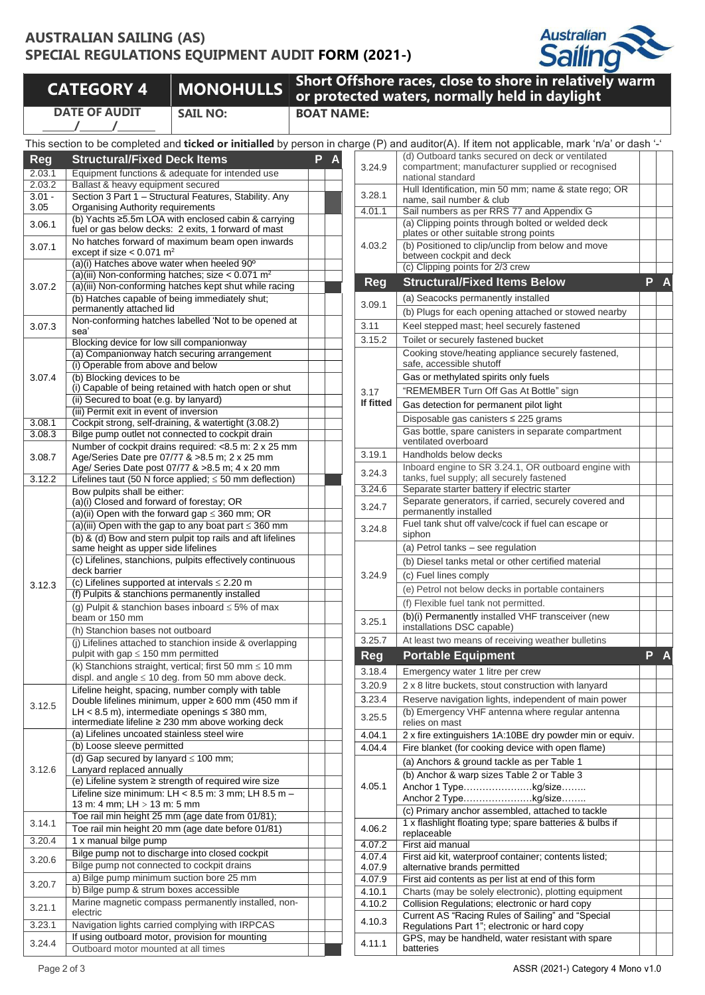## **AUSTRALIAN SAILING (AS) SPECIAL REGULATIONS EQUIPMENT AUDIT FORM (2021-)**



# **CATEGORY <sup>4</sup> MONOHULLS Short Offshore races, close to shore in relatively warm DATE OF AUDIT**

**/ /**

**or protected waters, normally held in daylight SAIL NO: BOAT NAME:**

|            | This section to be completed and ticked or initialled by person in charge (P) and auditor(A). If item not applicable, mark 'n/a' or dash '-' |   |  |                   |                                                                                                              |   |  |
|------------|----------------------------------------------------------------------------------------------------------------------------------------------|---|--|-------------------|--------------------------------------------------------------------------------------------------------------|---|--|
| <b>Reg</b> | <b>Structural/Fixed Deck Items</b>                                                                                                           | P |  |                   | (d) Outboard tanks secured on deck or ventilated                                                             |   |  |
| 2.03.1     | Equipment functions & adequate for intended use                                                                                              |   |  | 3.24.9            | compartment; manufacturer supplied or recognised                                                             |   |  |
| 2.03.2     | Ballast & heavy equipment secured                                                                                                            |   |  |                   | national standard                                                                                            |   |  |
| $3.01 -$   | Section 3 Part 1 - Structural Features, Stability. Any                                                                                       |   |  | 3.28.1            | Hull Identification, min 50 mm; name & state rego; OR<br>name, sail number & club                            |   |  |
| 3.05       | <b>Organising Authority requirements</b>                                                                                                     |   |  | 4.01.1            | Sail numbers as per RRS 77 and Appendix G                                                                    |   |  |
| 3.06.1     | (b) Yachts ≥5.5m LOA with enclosed cabin & carrying                                                                                          |   |  |                   | (a) Clipping points through bolted or welded deck                                                            |   |  |
|            | fuel or gas below decks: 2 exits, 1 forward of mast                                                                                          |   |  |                   | plates or other suitable strong points                                                                       |   |  |
| 3.07.1     | No hatches forward of maximum beam open inwards                                                                                              |   |  | 4.03.2            | (b) Positioned to clip/unclip from below and move                                                            |   |  |
|            | except if size $< 0.071$ m <sup>2</sup><br>(a)(i) Hatches above water when heeled 90°                                                        |   |  |                   | between cockpit and deck                                                                                     |   |  |
|            | (a)(iii) Non-conforming hatches; size $< 0.071$ m <sup>2</sup>                                                                               |   |  |                   | (c) Clipping points for 2/3 crew                                                                             |   |  |
| 3.07.2     | (a)(iii) Non-conforming hatches kept shut while racing                                                                                       |   |  | Reg               | <b>Structural/Fixed Items Below</b>                                                                          | P |  |
|            | (b) Hatches capable of being immediately shut;                                                                                               |   |  |                   | (a) Seacocks permanently installed                                                                           |   |  |
|            | permanently attached lid                                                                                                                     |   |  | 3.09.1            | (b) Plugs for each opening attached or stowed nearby                                                         |   |  |
| 3.07.3     | Non-conforming hatches labelled 'Not to be opened at                                                                                         |   |  | 3.11              | Keel stepped mast; heel securely fastened                                                                    |   |  |
|            | sea'                                                                                                                                         |   |  |                   |                                                                                                              |   |  |
|            | Blocking device for low sill companionway                                                                                                    |   |  | 3.15.2            | Toilet or securely fastened bucket                                                                           |   |  |
|            | (a) Companionway hatch securing arrangement<br>(i) Operable from above and below                                                             |   |  |                   | Cooking stove/heating appliance securely fastened,<br>safe, accessible shutoff                               |   |  |
| 3.07.4     | (b) Blocking devices to be                                                                                                                   |   |  |                   | Gas or methylated spirits only fuels                                                                         |   |  |
|            | (i) Capable of being retained with hatch open or shut                                                                                        |   |  |                   | "REMEMBER Turn Off Gas At Bottle" sign                                                                       |   |  |
|            | (ii) Secured to boat (e.g. by lanyard)                                                                                                       |   |  | 3.17<br>If fitted |                                                                                                              |   |  |
|            | (iii) Permit exit in event of inversion                                                                                                      |   |  |                   | Gas detection for permanent pilot light                                                                      |   |  |
| 3.08.1     | Cockpit strong, self-draining, & watertight (3.08.2)                                                                                         |   |  |                   | Disposable gas canisters $\leq$ 225 grams                                                                    |   |  |
| 3.08.3     | Bilge pump outlet not connected to cockpit drain                                                                                             |   |  |                   | Gas bottle, spare canisters in separate compartment                                                          |   |  |
|            | Number of cockpit drains required: <8.5 m: 2 x 25 mm                                                                                         |   |  |                   | ventilated overboard                                                                                         |   |  |
| 3.08.7     | Age/Series Date pre 07/77 & >8.5 m; 2 x 25 mm                                                                                                |   |  | 3.19.1            | Handholds below decks                                                                                        |   |  |
|            | Age/ Series Date post 07/77 & >8.5 m; 4 x 20 mm                                                                                              |   |  | 3.24.3            | Inboard engine to SR 3.24.1, OR outboard engine with<br>tanks, fuel supply; all securely fastened            |   |  |
| 3.12.2     | Lifelines taut (50 N force applied; $\leq$ 50 mm deflection)<br>Bow pulpits shall be either:                                                 |   |  | 3.24.6            | Separate starter battery if electric starter                                                                 |   |  |
|            | (a)(i) Closed and forward of forestay; OR                                                                                                    |   |  |                   | Separate generators, if carried, securely covered and                                                        |   |  |
|            | (a)(ii) Open with the forward gap $\leq$ 360 mm; OR                                                                                          |   |  | 3.24.7            | permanently installed                                                                                        |   |  |
|            | (a)(iii) Open with the gap to any boat part $\leq$ 360 mm                                                                                    |   |  | 3.24.8            | Fuel tank shut off valve/cock if fuel can escape or                                                          |   |  |
|            | (b) & (d) Bow and stern pulpit top rails and aft lifelines                                                                                   |   |  |                   | siphon                                                                                                       |   |  |
|            | same height as upper side lifelines                                                                                                          |   |  |                   | (a) Petrol tanks - see regulation                                                                            |   |  |
|            | (c) Lifelines, stanchions, pulpits effectively continuous                                                                                    |   |  | 3.24.9            | (b) Diesel tanks metal or other certified material                                                           |   |  |
|            | deck barrier                                                                                                                                 |   |  |                   | (c) Fuel lines comply                                                                                        |   |  |
| 3.12.3     | (c) Lifelines supported at intervals $\leq$ 2.20 m                                                                                           |   |  |                   | (e) Petrol not below decks in portable containers                                                            |   |  |
|            | (f) Pulpits & stanchions permanently installed                                                                                               |   |  |                   | (f) Flexible fuel tank not permitted.                                                                        |   |  |
|            | (g) Pulpit & stanchion bases inboard $\leq$ 5% of max<br>beam or 150 mm                                                                      |   |  |                   | (b)(i) Permanently installed VHF transceiver (new                                                            |   |  |
|            | (h) Stanchion bases not outboard                                                                                                             |   |  | 3.25.1            | installations DSC capable)                                                                                   |   |  |
|            | (j) Lifelines attached to stanchion inside & overlapping                                                                                     |   |  | 3.25.7            | At least two means of receiving weather bulletins                                                            |   |  |
|            | pulpit with gap $\leq$ 150 mm permitted                                                                                                      |   |  | <b>Reg</b>        | <b>Portable Equipment</b>                                                                                    | P |  |
|            | (k) Stanchions straight, vertical; first 50 mm $\leq$ 10 mm                                                                                  |   |  |                   |                                                                                                              |   |  |
|            | displ. and angle $\leq 10$ deg. from 50 mm above deck.                                                                                       |   |  | 3.18.4            | Emergency water 1 litre per crew                                                                             |   |  |
|            | Lifeline height, spacing, number comply with table                                                                                           |   |  | 3.20.9            | 2 x 8 litre buckets, stout construction with lanyard                                                         |   |  |
| 3.12.5     | Double lifelines minimum, upper $\geq 600$ mm (450 mm if                                                                                     |   |  | 3.23.4            | Reserve navigation lights, independent of main power                                                         |   |  |
|            | LH < 8.5 m), intermediate openings $\leq$ 380 mm,                                                                                            |   |  | 3.25.5            | (b) Emergency VHF antenna where regular antenna                                                              |   |  |
|            | intermediate lifeline ≥ 230 mm above working deck                                                                                            |   |  |                   | relies on mast                                                                                               |   |  |
|            | (a) Lifelines uncoated stainless steel wire<br>(b) Loose sleeve permitted                                                                    |   |  | 4.04.1            | 2 x fire extinguishers 1A:10BE dry powder min or equiv.                                                      |   |  |
|            | (d) Gap secured by lanyard $\leq 100$ mm;                                                                                                    |   |  | 4.04.4            | Fire blanket (for cooking device with open flame)                                                            |   |  |
| 3.12.6     | Lanyard replaced annually                                                                                                                    |   |  |                   | (a) Anchors & ground tackle as per Table 1                                                                   |   |  |
|            | (e) Lifeline system ≥ strength of required wire size                                                                                         |   |  |                   | (b) Anchor & warp sizes Table 2 or Table 3                                                                   |   |  |
|            | Lifeline size minimum: LH < 8.5 m: 3 mm; LH 8.5 m -                                                                                          |   |  | 4.05.1            | Anchor 1 Typekg/size                                                                                         |   |  |
|            | 13 m: 4 mm; LH > 13 m: 5 mm                                                                                                                  |   |  |                   | Anchor 2 Typekg/size                                                                                         |   |  |
|            | Toe rail min height 25 mm (age date from 01/81);                                                                                             |   |  |                   | (c) Primary anchor assembled, attached to tackle<br>1 x flashlight floating type; spare batteries & bulbs if |   |  |
| 3.14.1     | Toe rail min height 20 mm (age date before 01/81)                                                                                            |   |  | 4.06.2            | replaceable                                                                                                  |   |  |
| 3.20.4     | 1 x manual bilge pump                                                                                                                        |   |  | 4.07.2            | First aid manual                                                                                             |   |  |
| 3.20.6     | Bilge pump not to discharge into closed cockpit                                                                                              |   |  | 4.07.4            | First aid kit, waterproof container; contents listed;                                                        |   |  |
|            | Bilge pump not connected to cockpit drains                                                                                                   |   |  | 4.07.9            | alternative brands permitted                                                                                 |   |  |
| 3.20.7     | a) Bilge pump minimum suction bore 25 mm                                                                                                     |   |  | 4.07.9            | First aid contents as per list at end of this form                                                           |   |  |
|            | b) Bilge pump & strum boxes accessible                                                                                                       |   |  | 4.10.1            | Charts (may be solely electronic), plotting equipment                                                        |   |  |
| 3.21.1     | Marine magnetic compass permanently installed, non-                                                                                          |   |  | 4.10.2            | Collision Regulations; electronic or hard copy                                                               |   |  |
|            | electric                                                                                                                                     |   |  | 4.10.3            | Current AS "Racing Rules of Sailing" and "Special                                                            |   |  |
| 3.23.1     | Navigation lights carried complying with IRPCAS<br>If using outboard motor, provision for mounting                                           |   |  |                   | Regulations Part 1"; electronic or hard copy                                                                 |   |  |
| 3.24.4     | Outboard motor mounted at all times                                                                                                          |   |  | 4.11.1            | GPS, may be handheld, water resistant with spare<br>batteries                                                |   |  |
|            |                                                                                                                                              |   |  |                   |                                                                                                              |   |  |

|            | arge (P) and auditor(A). If item not applicable, mark 'n/a' or dash '-'                                      |   |   |  |  |  |  |
|------------|--------------------------------------------------------------------------------------------------------------|---|---|--|--|--|--|
|            | (d) Outboard tanks secured on deck or ventilated                                                             |   |   |  |  |  |  |
| 3.24.9     | compartment; manufacturer supplied or recognised<br>national standard                                        |   |   |  |  |  |  |
|            | Hull Identification, min 50 mm; name & state rego; OR                                                        |   |   |  |  |  |  |
| 3.28.1     | name, sail number & club                                                                                     |   |   |  |  |  |  |
| 4.01.1     | Sail numbers as per RRS 77 and Appendix G                                                                    |   |   |  |  |  |  |
|            | (a) Clipping points through bolted or welded deck                                                            |   |   |  |  |  |  |
|            | plates or other suitable strong points                                                                       |   |   |  |  |  |  |
| 4.03.2     | (b) Positioned to clip/unclip from below and move                                                            |   |   |  |  |  |  |
|            | between cockpit and deck<br>(c) Clipping points for 2/3 crew                                                 |   |   |  |  |  |  |
| <b>Reg</b> | <b>Structural/Fixed Items Below</b>                                                                          | P | А |  |  |  |  |
|            |                                                                                                              |   |   |  |  |  |  |
| 3.09.1     | (a) Seacocks permanently installed                                                                           |   |   |  |  |  |  |
|            | (b) Plugs for each opening attached or stowed nearby                                                         |   |   |  |  |  |  |
| 3.11       | Keel stepped mast; heel securely fastened                                                                    |   |   |  |  |  |  |
| 3.15.2     | Toilet or securely fastened bucket                                                                           |   |   |  |  |  |  |
|            | Cooking stove/heating appliance securely fastened,                                                           |   |   |  |  |  |  |
|            | safe, accessible shutoff                                                                                     |   |   |  |  |  |  |
|            | Gas or methylated spirits only fuels                                                                         |   |   |  |  |  |  |
| 3.17       | "REMEMBER Turn Off Gas At Bottle" sign                                                                       |   |   |  |  |  |  |
| If fitted  | Gas detection for permanent pilot light                                                                      |   |   |  |  |  |  |
|            | Disposable gas canisters ≤ 225 grams                                                                         |   |   |  |  |  |  |
|            | Gas bottle, spare canisters in separate compartment<br>ventilated overboard                                  |   |   |  |  |  |  |
|            | Handholds below decks                                                                                        |   |   |  |  |  |  |
| 3.19.1     | Inboard engine to SR 3.24.1, OR outboard engine with                                                         |   |   |  |  |  |  |
| 3.24.3     | tanks, fuel supply; all securely fastened                                                                    |   |   |  |  |  |  |
| 3.24.6     | Separate starter battery if electric starter                                                                 |   |   |  |  |  |  |
| 3.24.7     | Separate generators, if carried, securely covered and                                                        |   |   |  |  |  |  |
|            | permanently installed                                                                                        |   |   |  |  |  |  |
| 3.24.8     | Fuel tank shut off valve/cock if fuel can escape or<br>siphon                                                |   |   |  |  |  |  |
|            | (a) Petrol tanks - see regulation                                                                            |   |   |  |  |  |  |
|            |                                                                                                              |   |   |  |  |  |  |
|            | (b) Diesel tanks metal or other certified material                                                           |   |   |  |  |  |  |
| 3.24.9     | (c) Fuel lines comply                                                                                        |   |   |  |  |  |  |
|            | (e) Petrol not below decks in portable containers                                                            |   |   |  |  |  |  |
|            | (f) Flexible fuel tank not permitted.                                                                        |   |   |  |  |  |  |
| 3.25.1     | (b)(i) Permanently installed VHF transceiver (new<br>installations DSC capable)                              |   |   |  |  |  |  |
| 3.25.7     | At least two means of receiving weather bulletins                                                            |   |   |  |  |  |  |
|            |                                                                                                              |   |   |  |  |  |  |
| <b>Reg</b> | <b>Portable Equipment</b>                                                                                    | Р |   |  |  |  |  |
| 3.18.4     | Emergency water 1 litre per crew                                                                             |   |   |  |  |  |  |
| 3.20.9     |                                                                                                              |   |   |  |  |  |  |
|            | 2 x 8 litre buckets, stout construction with lanyard                                                         |   |   |  |  |  |  |
| 3.23.4     | Reserve navigation lights, independent of main power                                                         |   |   |  |  |  |  |
|            | (b) Emergency VHF antenna where regular antenna                                                              |   |   |  |  |  |  |
| 3.25.5     | relies on mast                                                                                               |   |   |  |  |  |  |
| 4.04.1     | 2 x fire extinguishers 1A:10BE dry powder min or equiv.                                                      |   |   |  |  |  |  |
| 4.04.4     | Fire blanket (for cooking device with open flame)                                                            |   |   |  |  |  |  |
|            | (a) Anchors & ground tackle as per Table 1                                                                   |   |   |  |  |  |  |
|            | (b) Anchor & warp sizes Table 2 or Table 3                                                                   |   |   |  |  |  |  |
| 4.05.1     | Anchor 1 Typekg/size                                                                                         |   |   |  |  |  |  |
|            | Anchor 2 Typekg/size                                                                                         |   |   |  |  |  |  |
|            | (c) Primary anchor assembled, attached to tackle<br>1 x flashlight floating type; spare batteries & bulbs if |   |   |  |  |  |  |
| 4.06.2     | replaceable                                                                                                  |   |   |  |  |  |  |
| 4.07.2     | First aid manual                                                                                             |   |   |  |  |  |  |
| 4.07.4     | First aid kit, waterproof container; contents listed;                                                        |   |   |  |  |  |  |
| 4.07.9     | alternative brands permitted                                                                                 |   |   |  |  |  |  |
| 4.07.9     | First aid contents as per list at end of this form                                                           |   |   |  |  |  |  |
| 4.10.1     | Charts (may be solely electronic), plotting equipment                                                        |   |   |  |  |  |  |
| 4.10.2     | Collision Regulations; electronic or hard copy                                                               |   |   |  |  |  |  |
| 4.10.3     | Current AS "Racing Rules of Sailing" and "Special<br>Regulations Part 1"; electronic or hard copy            |   |   |  |  |  |  |
| 4.11.1     | GPS, may be handheld, water resistant with spare<br>batteries                                                |   |   |  |  |  |  |